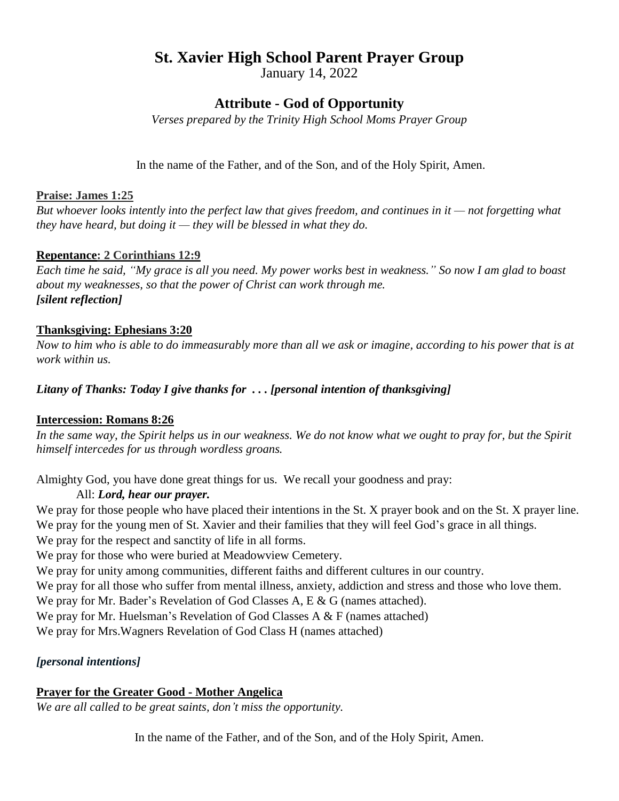# **St. Xavier High School Parent Prayer Group**

January 14, 2022

## **Attribute - God of Opportunity**

*Verses prepared by the Trinity High School Moms Prayer Group*

In the name of the Father, and of the Son, and of the Holy Spirit, Amen.

### **Praise: James 1:25**

But whoever looks intently into the perfect law that gives freedom, and continues in it  $-$  not forgetting what *they have heard, but doing it — they will be blessed in what they do.*

### **Repentance: 2 Corinthians 12:9**

Each time he said, "My grace is all you need. My power works best in weakness." So now I am glad to boast *about my weaknesses, so that the power of Christ can work through me. [silent reflection]*

### **Thanksgiving: Ephesians 3:20**

Now to him who is able to do immeasurably more than all we ask or imagine, according to his power that is at *work within us.*

*Litany of Thanks: Today I give thanks for . . . [personal intention of thanksgiving]*

### **Intercession: Romans 8:26**

In the same way, the Spirit helps us in our weakness. We do not know what we ought to pray for, but the Spirit *himself intercedes for us through wordless groans.*

Almighty God, you have done great things for us. We recall your goodness and pray:

### All: *Lord, hear our prayer.*

We pray for those people who have placed their intentions in the St. X prayer book and on the St. X prayer line. We pray for the young men of St. Xavier and their families that they will feel God's grace in all things. We pray for the respect and sanctity of life in all forms.

We pray for those who were buried at Meadowview Cemetery.

We pray for unity among communities, different faiths and different cultures in our country.

We pray for all those who suffer from mental illness, anxiety, addiction and stress and those who love them.

We pray for Mr. Bader's Revelation of God Classes A, E & G (names attached).

We pray for Mr. Huelsman's Revelation of God Classes A & F (names attached)

We pray for Mrs.Wagners Revelation of God Class H (names attached)

## *[personal intentions]*

### **Prayer for the Greater Good - Mother Angelica**

*We are all called to be great saints, don't miss the opportunity.*

In the name of the Father, and of the Son, and of the Holy Spirit, Amen.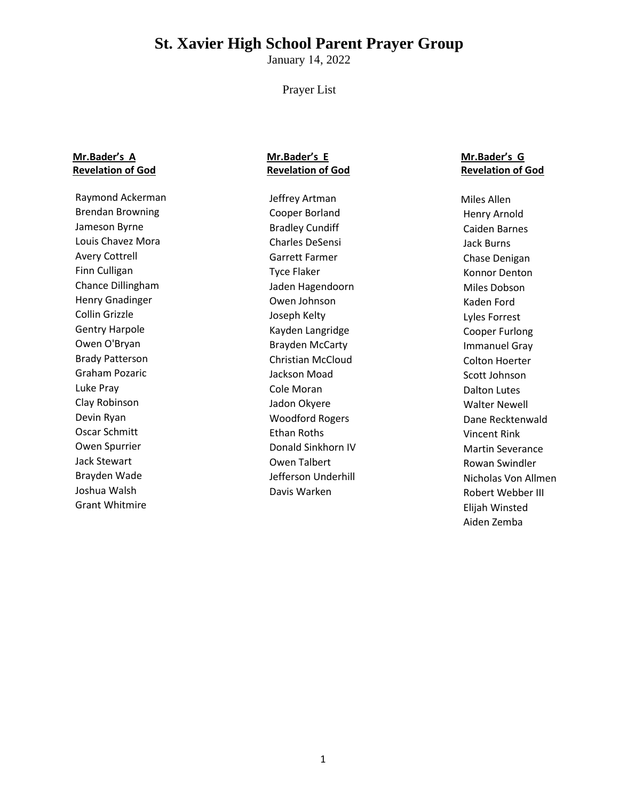# **St. Xavier High School Parent Prayer Group**

January 14, 2022

#### Prayer List

### **Mr.Bader's A Revelation of God**

Raymond Ackerman Brendan Browning Jameson Byrne Louis Chavez Mora Avery Cottrell Finn Culligan Chance Dillingham Henry Gnadinger Collin Grizzle Gentry Harpole Owen O'Bryan Brady Patterson Graham Pozaric Luke Pray Clay Robinson Devin Ryan Oscar Schmitt Owen Spurrier Jack Stewart Brayden Wade Joshua Walsh Grant Whitmire

### **Mr.Bader's E Revelation of God**

Jeffrey Artman Cooper Borland Bradley Cundiff Charles DeSensi Garrett Farmer Tyce Flaker Jaden Hagendoorn Owen Johnson Joseph Kelty Kayden Langridge Brayden McCarty Christian McCloud Jackson Moad Cole Moran Jadon Okyere Woodford Rogers Ethan Roths Donald Sinkhorn IV Owen Talbert Jefferson Underhill Davis Warken

### **Mr.Bader's G Revelation of God**

Miles Allen Henry Arnold Caiden Barnes Jack Burns Chase Denigan Konnor Denton Miles Dobson Kaden Ford Lyles Forrest Cooper Furlong Immanuel Gray Colton Hoerter Scott Johnson Dalton Lutes Walter Newell Dane Recktenwald Vincent Rink Martin Severance Rowan Swindler Nicholas Von Allmen Robert Webber III Elijah Winsted Aiden Zemba